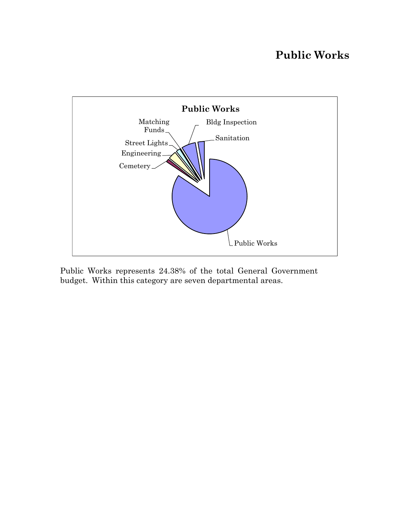# **Public Works**



Public Works represents 24.38% of the total General Government budget. Within this category are seven departmental areas.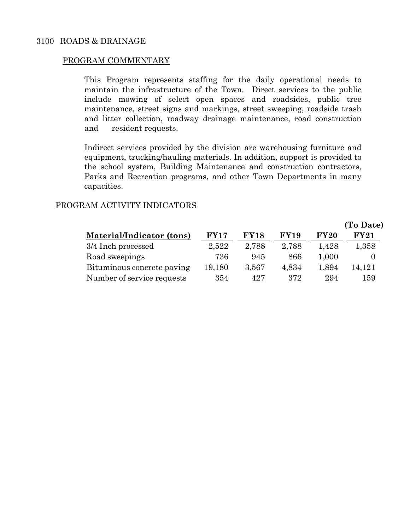## PROGRAM COMMENTARY

This Program represents staffing for the daily operational needs to maintain the infrastructure of the Town. Direct services to the public include mowing of select open spaces and roadsides, public tree maintenance, street signs and markings, street sweeping, roadside trash and litter collection, roadway drainage maintenance, road construction and resident requests.

Indirect services provided by the division are warehousing furniture and equipment, trucking/hauling materials. In addition, support is provided to the school system, Building Maintenance and construction contractors, Parks and Recreation programs, and other Town Departments in many capacities.

## PROGRAM ACTIVITY INDICATORS

|                            |             |             |             |       | (To Date) |
|----------------------------|-------------|-------------|-------------|-------|-----------|
| Material/Indicator (tons)  | <b>FY17</b> | <b>FY18</b> | <b>FY19</b> | FY20  | FY21      |
| 3/4 Inch processed         | 2,522       | 2,788       | 2,788       | 1,428 | 1,358     |
| Road sweepings             | 736         | 945         | 866         | 1,000 | $\theta$  |
| Bituminous concrete paving | 19,180      | 3,567       | 4,834       | 1,894 | 14,121    |
| Number of service requests | 354         | 427         | 372         | 294   | 159       |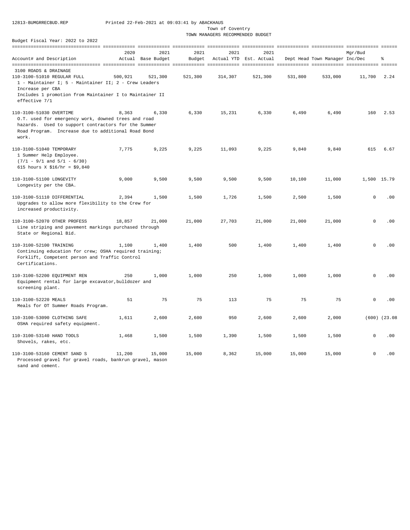Town of Coventry

TOWN MANAGERS RECOMMENDED BUDGET

|                                                                                                                                                                                                                       | 2020    | 2021               | 2021    | 2021    | 2021                   |         |                                | Mqr/Bud             |                   |
|-----------------------------------------------------------------------------------------------------------------------------------------------------------------------------------------------------------------------|---------|--------------------|---------|---------|------------------------|---------|--------------------------------|---------------------|-------------------|
| Account# and Description                                                                                                                                                                                              |         | Actual Base Budget | Budget  |         | Actual YTD Est. Actual |         | Dept Head Town Manager Inc/Dec |                     | ę                 |
| 3100 ROADS & DRAINAGE<br>110-3100-51010 REGULAR FULL<br>1 - Maintainer I; 5 - Maintainer II; 2 - Crew Leaders<br>Increase per CBA<br>Includes 1 promotion from Maintainer I to Maintainer II                          | 500,921 | 521,300            | 521,300 | 314,307 | 521,300                | 531,800 | 533,000                        | 11,700              | 2.24              |
| effective 7/1<br>110-3100-51030 OVERTIME<br>O.T. used for emergency work, downed trees and road<br>hazards. Used to support contractors for the Summer<br>Road Program. Increase due to additional Road Bond<br>work. | 8,363   | 6,330              | 6,330   | 15,231  | 6,330                  | 6,490   | 6,490                          | 160                 | 2.53              |
| 110-3100-51040 TEMPORARY<br>1 Summer Help Employee.<br>$(7/1 - 9/1$ and $5/1 - 6/30)$<br>615 hours X \$16/hr = \$9,840                                                                                                | 7,775   | 9,225              | 9,225   | 11,093  | 9,225                  | 9,840   | 9,840                          | 615                 | 6.67              |
| 110-3100-51100 LONGEVITY<br>Longevity per the CBA.                                                                                                                                                                    | 9,000   | 9,500              | 9,500   | 9,500   | 9,500                  | 10,100  | 11,000                         | 1,500 15.79         |                   |
| 110-3100-51110 DIFFERENTIAL<br>Upgrades to allow more flexibility to the Crew for<br>increased productivity.                                                                                                          | 2,394   | 1,500              | 1,500   | 1,726   | 1,500                  | 2,500   | 1,500                          | $\mathbf 0$         | .00               |
| 110-3100-52070 OTHER PROFESS<br>Line striping and pavement markings purchased through<br>State or Regional Bid.                                                                                                       | 18,857  | 21,000             | 21,000  | 27,703  | 21,000                 | 21,000  | 21,000                         | $\Omega$            | .00               |
| 110-3100-52100 TRAINING<br>Continuing education for crew; OSHA required training;<br>Forklift, Competent person and Traffic Control<br>Certifications.                                                                | 1,100   | 1,400              | 1,400   | 500     | 1,400                  | 1,400   | 1,400                          | $\mathbf 0$         | .00               |
| 110-3100-52200 EQUIPMENT REN<br>Equipment rental for large excavator, bulldozer and<br>screening plant.                                                                                                               | 250     | 1,000              | 1,000   | 250     | 1,000                  | 1,000   | 1,000                          | $\mathbf{0}$        | .00               |
| 110-3100-52220 MEALS<br>Meals for OT Summer Roads Program.                                                                                                                                                            | 51      | 75                 | 75      | 113     | 75                     | 75      | 75                             | 0                   | .00               |
| 110-3100-53090 CLOTHING SAFE<br>OSHA required safety equipment.                                                                                                                                                       | 1,611   | 2,600              | 2,600   | 950     | 2,600                  | 2,600   | 2,000                          |                     | $(600)$ $(23.08)$ |
| 110-3100-53140 HAND TOOLS<br>Shovels, rakes, etc.                                                                                                                                                                     | 1,468   | 1,500              | 1,500   | 1,390   | 1,500                  | 1,500   | 1,500                          | $\mathbf 0$         | .00               |
| 110-3100-53160 CEMENT SAND S<br>Processed gravel for gravel roads, bankrun gravel, mason<br>sand and cement.                                                                                                          | 11,200  | 15,000             | 15,000  | 8,362   | 15,000                 | 15,000  | 15,000                         | $\mathsf{O}\xspace$ | .00               |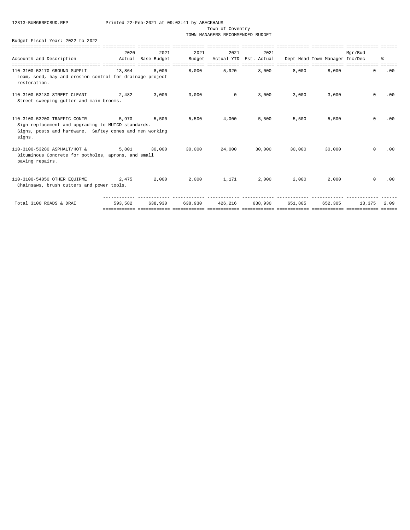Town of Coventry

TOWN MANAGERS RECOMMENDED BUDGET

|  | Budget Fiscal Year: 2022 to 2022 |  |  |  |  |
|--|----------------------------------|--|--|--|--|
|--|----------------------------------|--|--|--|--|

|                                                                                                                                               | 2020    | 2021               | 2021    | 2021           | 2021                    |                         |                                                       | Mar/Bud     |     |
|-----------------------------------------------------------------------------------------------------------------------------------------------|---------|--------------------|---------|----------------|-------------------------|-------------------------|-------------------------------------------------------|-------------|-----|
| Account# and Description                                                                                                                      |         | Actual Base Budget | Budget  |                |                         |                         | Actual YTD Est. Actual Dept Head Town Manager Inc/Dec |             | 昙   |
|                                                                                                                                               |         |                    |         |                |                         | ==== ============ ===== |                                                       |             |     |
| 110-3100-53170 GROUND SUPPLI<br>Loam, seed, hay and erosion control for drainage project<br>restoration.                                      | 13,864  | 8,000              | 8,000   | 5,920          | 8,000                   | 8.000                   | 8.000                                                 | $\circ$     | .00 |
| 110-3100-53180 STREET CLEANI 2,482<br>Street sweeping gutter and main brooms.                                                                 |         | 3,000              | 3,000   | $\overline{0}$ | 3,000                   | 3,000                   | 3,000                                                 | $\Omega$    | .00 |
|                                                                                                                                               |         |                    |         |                |                         |                         |                                                       |             |     |
| 110-3100-53200 TRAFFIC CONTR<br>Sign replacement and upgrading to MUTCD standards.<br>Signs, posts and hardware. Saftey cones and men working | 5.970   | 5,500              | 5,500   | 4,000          | 5,500                   | 5,500                   | 5,500                                                 | $\Omega$    | .00 |
| signs.                                                                                                                                        |         |                    |         |                |                         |                         |                                                       |             |     |
| 110-3100-53280 ASPHALT/HOT &<br>Bituminous Concrete for potholes, aprons, and small<br>paving repairs.                                        | 5.801   | 30,000             | 30,000  | 24,000         | 30,000                  | 30,000                  | 30,000                                                | $\Omega$    | .00 |
| 110-3100-54050 OTHER EOUIPME<br>Chainsaws, brush cutters and power tools.                                                                     | 2,475   | 2,000              | 2,000   | 1,171          | 2,000                   | 2,000                   | 2,000                                                 | $\Omega$    | .00 |
| Total 3100 ROADS & DRAI                                                                                                                       | 593,582 | 638,930            | 638,930 |                | 426.216 638.930 651.805 |                         | 652,305                                               | 13,375 2.09 |     |
|                                                                                                                                               |         |                    |         |                |                         |                         |                                                       |             |     |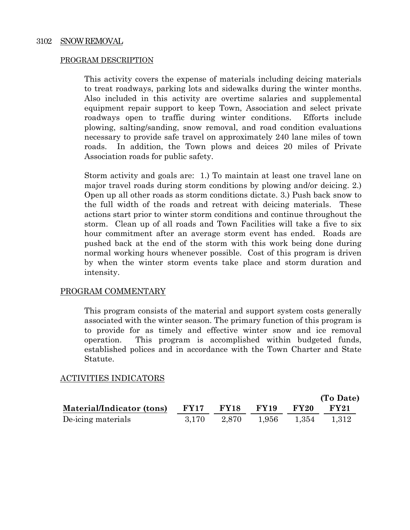## PROGRAM DESCRIPTION

This activity covers the expense of materials including deicing materials to treat roadways, parking lots and sidewalks during the winter months. Also included in this activity are overtime salaries and supplemental equipment repair support to keep Town, Association and select private roadways open to traffic during winter conditions. Efforts include plowing, salting/sanding, snow removal, and road condition evaluations necessary to provide safe travel on approximately 240 lane miles of town roads. In addition, the Town plows and deices 20 miles of Private Association roads for public safety.

Storm activity and goals are: 1.) To maintain at least one travel lane on major travel roads during storm conditions by plowing and/or deicing. 2.) Open up all other roads as storm conditions dictate. 3.) Push back snow to the full width of the roads and retreat with deicing materials. These actions start prior to winter storm conditions and continue throughout the storm. Clean up of all roads and Town Facilities will take a five to six hour commitment after an average storm event has ended. Roads are pushed back at the end of the storm with this work being done during normal working hours whenever possible. Cost of this program is driven by when the winter storm events take place and storm duration and intensity.

## PROGRAM COMMENTARY

This program consists of the material and support system costs generally associated with the winter season. The primary function of this program is to provide for as timely and effective winter snow and ice removal operation. This program is accomplished within budgeted funds, established polices and in accordance with the Town Charter and State Statute.

## ACTIVITIES INDICATORS

|                           |             |             |             |                         | (To Date)   |
|---------------------------|-------------|-------------|-------------|-------------------------|-------------|
| Material/Indicator (tons) | <b>FY17</b> | <b>FY18</b> | <b>FY19</b> | $\rm FY20$              | <b>FY21</b> |
| De-icing materials        | 3.170       | 2,870       |             | $1,956$ $1,354$ $1,312$ |             |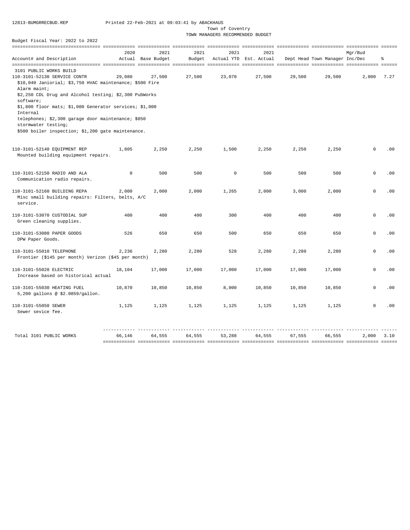Town of Coventry

TOWN MANAGERS RECOMMENDED BUDGET

| Budget Fiscal Year: 2022 to 2022                                    |             |                    |               |              |                        |                             |                                |             |            |
|---------------------------------------------------------------------|-------------|--------------------|---------------|--------------|------------------------|-----------------------------|--------------------------------|-------------|------------|
|                                                                     |             |                    | ------------- | ============ |                        | scessessesses executeresses |                                |             |            |
|                                                                     | 2020        | 2021               | 2021          | 2021         | 2021                   |                             |                                | Mgr/Bud     |            |
| Account# and Description                                            |             | Actual Base Budget | Budget        |              | Actual YTD Est. Actual |                             | Dept Head Town Manager Inc/Dec |             | 읗          |
| 3101 PUBLIC WORKS BUILD                                             |             |                    |               |              |                        |                             |                                |             |            |
| 110-3101-52130 SERVICE CONTR                                        | 29,080      | 27.500             | 27,500        | 23,070       | 27,500                 | 29,500                      | 29,500                         | 2,000       | 7.27       |
| \$10,040 Janiorial; \$3,750 HVAC maintenance; \$500 Fire            |             |                    |               |              |                        |                             |                                |             |            |
| Alarm maint;                                                        |             |                    |               |              |                        |                             |                                |             |            |
| \$2,250 CDL Drug and Alcohol testing; \$2,300 PubWorks              |             |                    |               |              |                        |                             |                                |             |            |
| software;                                                           |             |                    |               |              |                        |                             |                                |             |            |
| \$1,800 floor mats; \$1,000 Generator services; \$1,000             |             |                    |               |              |                        |                             |                                |             |            |
| Internal                                                            |             |                    |               |              |                        |                             |                                |             |            |
| telephones; \$2,300 garage door maintenance; \$850                  |             |                    |               |              |                        |                             |                                |             |            |
| stormwater testing;                                                 |             |                    |               |              |                        |                             |                                |             |            |
| \$500 boiler inspection; \$1,200 gate maintenance.                  |             |                    |               |              |                        |                             |                                |             |            |
|                                                                     |             |                    |               |              |                        |                             |                                |             |            |
| 110-3101-52140 EQUIPMENT REP<br>Mounted building equipment repairs. | 1,805       | 2,250              | 2,250         | 1,500        | 2,250                  | 2,250                       | 2,250                          | $\Omega$    | .00        |
|                                                                     |             |                    |               |              |                        |                             |                                |             |            |
| 110-3101-52150 RADIO AND ALA                                        | $\mathbf 0$ | 500                | 500           | $\mathbf 0$  | 500                    | 500                         | 500                            | $\mathbf 0$ | .00        |
| Communication radio repairs.                                        |             |                    |               |              |                        |                             |                                |             |            |
| 110-3101-52160 BUILDING REPA                                        | 2,000       | 2,000              | 2,000         | 1,265        | 2,000                  | 3,000                       | 2,000                          | $\mathbf 0$ | .00        |
| Misc small building repairs: Filters, belts, A/C                    |             |                    |               |              |                        |                             |                                |             |            |
| service.                                                            |             |                    |               |              |                        |                             |                                |             |            |
| 110-3101-53070 CUSTODIAL SUP                                        | 400         | 400                | 400           | 300          | 400                    | 400                         | 400                            | $\circ$     | .00        |
| Green cleaning supplies.                                            |             |                    |               |              |                        |                             |                                |             |            |
| 110-3101-53080 PAPER GOODS                                          | 526         | 650                | 650           | 500          | 650                    | 650                         | 650                            | $\Omega$    | .00        |
| DPW Paper Goods.                                                    |             |                    |               |              |                        |                             |                                |             |            |
| 110-3101-55010 TELEPHONE                                            | 2.236       | 2,280              | 2,280         | 528          | 2,280                  | 2,280                       | 2,280                          | $\Omega$    | .00        |
| Frontier (\$145 per month) Verizon (\$45 per month)                 |             |                    |               |              |                        |                             |                                |             |            |
| 110-3101-55020 ELECTRIC                                             | 18,104      | 17,000             | 17,000        | 17,000       | 17,000                 | 17,000                      | 17,000                         | $\Omega$    | .00        |
| Increase based on historical actual                                 |             |                    |               |              |                        |                             |                                |             |            |
| 110-3101-55030 HEATING FUEL                                         | 10,870      | 10,850             | 10,850        | 8,000        | 10,850                 | 10,850                      | 10,850                         | $\Omega$    | .00        |
| 5,200 gallons @ \$2.0859/gallon.                                    |             |                    |               |              |                        |                             |                                |             |            |
| 110-3101-55050 SEWER                                                | 1,125       | 1,125              | 1,125         | 1,125        | 1,125                  | 1,125                       | 1,125                          | $\mathbf 0$ | .00        |
| Sewer sevice fee.                                                   |             |                    |               |              |                        |                             |                                |             |            |
|                                                                     |             |                    |               |              |                        |                             |                                |             |            |
| Total 3101 PUBLIC WORKS                                             | 66,146      | 64,555             | 64,555        | 53,288       | 64,555                 | 67,555                      | 66,555                         |             | 2,000 3.10 |
|                                                                     |             |                    |               |              |                        |                             |                                |             |            |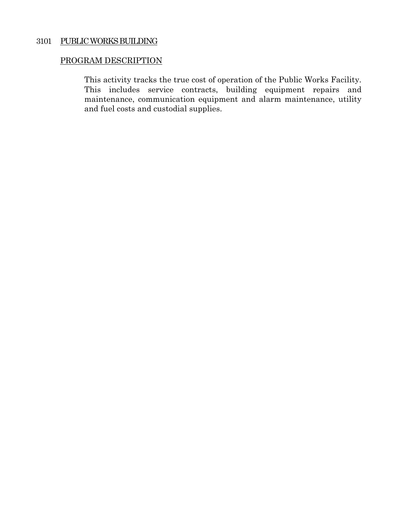## 3101 PUBLIC WORKS BUILDING

## PROGRAM DESCRIPTION

This activity tracks the true cost of operation of the Public Works Facility. This includes service contracts, building equipment repairs and maintenance, communication equipment and alarm maintenance, utility and fuel costs and custodial supplies.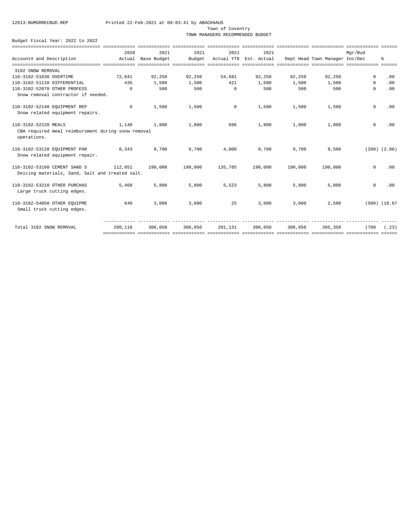#### Town of Coventry

TOWN MANAGERS RECOMMENDED BUDGET

|                                                                                           | 2020       | 2021               | 2021                                                                                                            | 2021        | 2021                   |         |                                | Mar/Bud     |                   |
|-------------------------------------------------------------------------------------------|------------|--------------------|-----------------------------------------------------------------------------------------------------------------|-------------|------------------------|---------|--------------------------------|-------------|-------------------|
| Account# and Description                                                                  |            | Actual Base Budget | Budget                                                                                                          |             | Actual YTD Est. Actual |         | Dept Head Town Manager Inc/Dec |             | ٩,                |
|                                                                                           |            |                    |                                                                                                                 |             |                        |         |                                |             |                   |
| 3102 SNOW REMOVAL                                                                         |            |                    |                                                                                                                 |             |                        |         |                                |             |                   |
| 110-3102-51030 OVERTIME                                                                   | 72,041     | 92,250             | 92,250                                                                                                          | 54,681      | 92,250                 | 92,250  | 92,250                         | $\Omega$    | .00               |
| 110-3102-51110 DIFFERENTIAL                                                               | 435        | 1,500              | 1,500                                                                                                           | 421         | 1,500                  | 1,500   | 1,500                          | $\circ$     | .00               |
| 110-3102-52070 OTHER PROFESS                                                              | $\Omega$   | 500                | 500                                                                                                             | $\Omega$    | 500                    | 500     | 500                            | $\Omega$    | .00               |
| Snow removal contractor if needed.                                                        |            |                    |                                                                                                                 |             |                        |         |                                |             |                   |
| 110-3102-52140 EOUIPMENT REP<br>Snow related equipment repairs.                           | $^{\circ}$ | 1,500              | 1,500                                                                                                           | $\mathbf 0$ | 1,500                  | 1,500   | 1,500                          | $\mathbf 0$ | .00               |
| 110-3102-52220 MEALS<br>CBA required meal reimbursment during snow removal<br>operations. | 1,140      | 1,800              | 1,800                                                                                                           | 696         | 1,800                  | 1,800   | 1,800                          | $\mathbf 0$ | .00               |
| 110-3102-53120 EQUIPMENT PAR<br>Snow related equipment repair.                            | 8,343      | 9,700              | 9,700                                                                                                           | 4,000       | 9,700                  | 9,700   | 9,500                          |             | $(200)$ $(2.06)$  |
| 110-3102-53160 CEMENT SAND S<br>Deicing materials, Sand, Salt and treated salt.           | 112,051    | 190,000            | 190,000                                                                                                         | 135,785     | 190,000                | 190,000 | 190,000                        | $\Omega$    | .00               |
| 110-3102-53210 OTHER PURCHAS<br>Large truck cutting edges.                                | 5,468      | 5,800              | 5,800                                                                                                           | 5,523       | 5,800                  | 5,800   | 5,800                          | $\mathbf 0$ | .00               |
| 110-3102-54050 OTHER EOUIPME<br>Small truck cutting edges.                                | 640        | 3,000              | 3,000                                                                                                           | 25          | 3,000                  | 3.000   | 2,500                          |             | $(500)$ $(16.67)$ |
| Total 3102 SNOW REMOVAL                                                                   | 200,118    | 306,050            | 306,050<br>stattattatta tootootattaa osatootattaa osatootattaa osatootattaa osatootattaa osatootattaa osatootat | 201,131     | 306,050                | 306,050 | 305,350                        | (700        | (.23)             |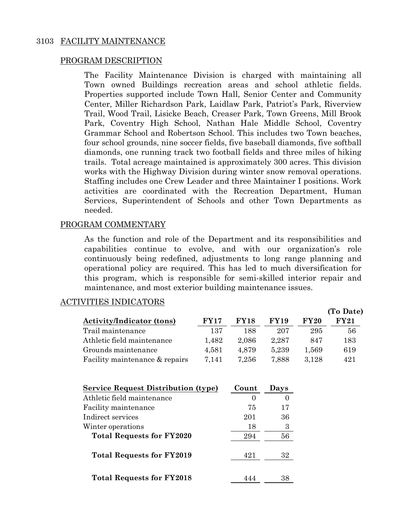## 3103 FACILITY MAINTENANCE

## PROGRAM DESCRIPTION

The Facility Maintenance Division is charged with maintaining all Town owned Buildings recreation areas and school athletic fields. Properties supported include Town Hall, Senior Center and Community Center, Miller Richardson Park, Laidlaw Park, Patriot's Park, Riverview Trail, Wood Trail, Lisicke Beach, Creaser Park, Town Greens, Mill Brook Park, Coventry High School, Nathan Hale Middle School, Coventry Grammar School and Robertson School. This includes two Town beaches, four school grounds, nine soccer fields, five baseball diamonds, five softball diamonds, one running track two football fields and three miles of hiking trails. Total acreage maintained is approximately 300 acres. This division works with the Highway Division during winter snow removal operations. Staffing includes one Crew Leader and three Maintainer I positions. Work activities are coordinated with the Recreation Department, Human Services, Superintendent of Schools and other Town Departments as needed.

## PROGRAM COMMENTARY

As the function and role of the Department and its responsibilities and capabilities continue to evolve, and with our organization's role continuously being redefined, adjustments to long range planning and operational policy are required. This has led to much diversification for this program, which is responsible for semi-skilled interior repair and maintenance, and most exterior building maintenance issues.

## ACTIVITIES INDICATORS

|                                  |             |             |             |             | (To Date)  |
|----------------------------------|-------------|-------------|-------------|-------------|------------|
| <b>Activity/Indicator (tons)</b> | <b>FY17</b> | <b>FY18</b> | <b>FY19</b> | <b>FY20</b> | $\bf FY21$ |
| Trail maintenance                | 137         | 188         | 207         | 295         | 56         |
| Athletic field maintenance       | 1.482       | 2,086       | 2.287       | 847         | 183        |
| Grounds maintenance              | 4,581       | 4.879       | 5.239       | 1.569       | 619        |
| Facility maintenance & repairs   | 7.141       | 7,256       | 7,888       | 3,128       | 421        |

| <b>Service Request Distribution (type)</b> | Count | Days |
|--------------------------------------------|-------|------|
| Athletic field maintenance                 |       |      |
| Facility maintenance                       | 75    | 17   |
| Indirect services                          | 201   | 36   |
| Winter operations                          | 18    | 3    |
| <b>Total Requests for FY2020</b>           | 294   | 56   |
| <b>Total Requests for FY2019</b>           | 421   | 32   |
| <b>Total Requests for FY2018</b>           |       | 38   |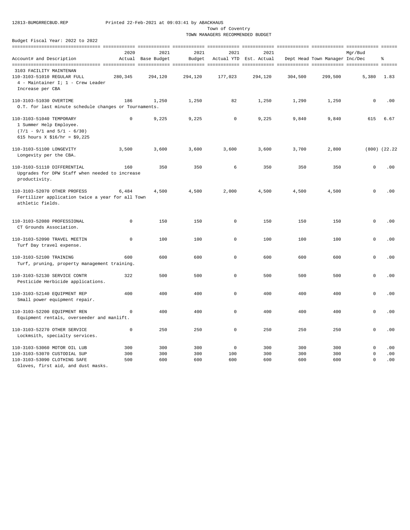Town of Coventry of The Coventry of Coventry of The Coventry of The Coventry of The Coventry of The Coventry of The Coventry of The Coventry of The Coventry of The Coventry of The Coventry of The Coventry of The Coventry o

TOWN MANAGERS RECOMMENDED BUDGET

Budget Fiscal Year: 2022 to 2022

| Account# and Description                                                                                               | 2020              | 2021<br>Actual Base Budget | 2021<br>Budget    | 2021                  | 2021<br>Actual YTD Est. Actual |                   | Dept Head Town Manager Inc/Dec | Mqr/Bud                               | ႜ                 |
|------------------------------------------------------------------------------------------------------------------------|-------------------|----------------------------|-------------------|-----------------------|--------------------------------|-------------------|--------------------------------|---------------------------------------|-------------------|
|                                                                                                                        |                   |                            |                   |                       |                                |                   |                                |                                       |                   |
| 3103 FACILITY MAINTENAN<br>110-3103-51010 REGULAR FULL<br>4 - Maintainer I; 1 - Crew Leader<br>Increase per CBA        | 280,345           | 294,120                    | 294,120           | 177,023               | 294,120                        | 304,500           | 299,500                        | 5,380                                 | 1.83              |
| 110-3103-51030 OVERTIME<br>O.T. for last minute schedule changes or Tournaments.                                       | 186               | 1,250                      | 1,250             | 82                    | 1,250                          | 1,290             | 1,250                          | $\mathbf 0$                           | .00               |
| 110-3103-51040 TEMPORARY<br>1 Summer Help Employee.<br>$(7/1 - 9/1$ and $5/1 - 6/30)$<br>615 hours X $$16/hr = $9,225$ | $\mathbf 0$       | 9,225                      | 9,225             | $\mathsf 0$           | 9,225                          | 9,840             | 9,840                          | 615                                   | 6.67              |
| 110-3103-51100 LONGEVITY<br>Longevity per the CBA.                                                                     | 3,500             | 3,600                      | 3,600             | 3,600                 | 3,600                          | 3,700             | 2,800                          |                                       | $(800)$ $(22.22)$ |
| 110-3103-51110 DIFFERENTIAL<br>Upgrades for DPW Staff when needed to increase<br>productivity.                         | 160               | 350                        | 350               | 6                     | 350                            | 350               | 350                            | $\mathbf 0$                           | .00               |
| 110-3103-52070 OTHER PROFESS<br>Fertilizer application twice a year for all Town<br>athletic fields.                   | 6,484             | 4,500                      | 4,500             | 2,000                 | 4,500                          | 4,500             | 4,500                          | $\Omega$                              | .00               |
| 110-3103-52080 PROFESSIONAL<br>CT Grounds Association.                                                                 | $\mathbf 0$       | 150                        | 150               | $\circ$               | 150                            | 150               | 150                            | $\mathbf 0$                           | .00               |
| 110-3103-52090 TRAVEL MEETIN<br>Turf Day travel expense.                                                               | $\mathbf 0$       | 100                        | 100               | 0                     | 100                            | 100               | 100                            | $\mathbf 0$                           | .00               |
| 110-3103-52100 TRAINING<br>Turf, pruning, property management training.                                                | 600               | 600                        | 600               | 0                     | 600                            | 600               | 600                            | 0                                     | .00               |
| 110-3103-52130 SERVICE CONTR<br>Pesticide Herbicide applications.                                                      | 322               | 500                        | 500               | $\mathbf 0$           | 500                            | 500               | 500                            | $\mathbf 0$                           | .00               |
| 110-3103-52140 EQUIPMENT REP<br>Small power equipment repair.                                                          | 400               | 400                        | 400               | $\mathsf 0$           | 400                            | 400               | 400                            | $\mathbf 0$                           | .00               |
| 110-3103-52200 EQUIPMENT REN<br>Equipment rentals, overseeder and manlift.                                             | $\mathbf 0$       | 400                        | 400               | $\circ$               | 400                            | 400               | 400                            | $\mathbf 0$                           | .00               |
| 110-3103-52270 OTHER SERVICE<br>Lockmsith, specialty services.                                                         | $\mathbf 0$       | 250                        | 250               | 0                     | 250                            | 250               | 250                            | $\Omega$                              | .00               |
| 110-3103-53060 MOTOR OIL LUB<br>110-3103-53070 CUSTODIAL SUP<br>110-3103-53090 CLOTHING SAFE                           | 300<br>300<br>500 | 300<br>300<br>600          | 300<br>300<br>600 | $\circ$<br>100<br>600 | 300<br>300<br>600              | 300<br>300<br>600 | 300<br>300<br>600              | $\mathbf 0$<br>$\circ$<br>$\mathbf 0$ | .00<br>.00<br>.00 |

Gloves, first aid, and dust masks.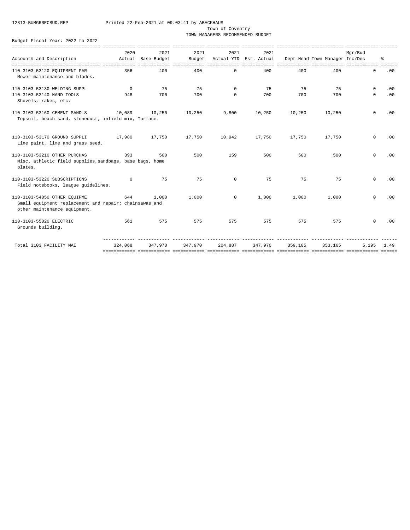Town of Coventry

TOWN MANAGERS RECOMMENDED BUDGET

|                                                                                                                        | 2020       | 2021               | 2021    | 2021       | 2021                   |         |                                | Mar/Bud  |      |
|------------------------------------------------------------------------------------------------------------------------|------------|--------------------|---------|------------|------------------------|---------|--------------------------------|----------|------|
| Account# and Description                                                                                               |            | Actual Base Budget | Budget  |            | Actual YTD Est. Actual |         | Dept Head Town Manager Inc/Dec |          | ి    |
|                                                                                                                        |            |                    |         |            |                        |         |                                |          |      |
| 110-3103-53120 EQUIPMENT PAR<br>Mower maintenance and blades.                                                          | 356        | 400                | 400     | $\Omega$   | 400                    | 400     | 400                            | 0        | .00  |
| 110-3103-53130 WELDING SUPPL                                                                                           | $^{\circ}$ | 75                 | 75      | $\Omega$   | 75                     | 75      | 75                             | $\Omega$ | .00  |
| 110-3103-53140 HAND TOOLS<br>Shovels, rakes, etc.                                                                      | 948        | 700                | 700     | $\Omega$   | 700                    | 700     | 700                            | $\Omega$ | .00  |
| 110-3103-53160 CEMENT SAND S<br>Topsoil, beach sand, stonedust, infield mix, Turface.                                  | 10,089     | 10,250             | 10,250  | 9,800      | 10,250                 | 10,250  | 10,250                         | $\circ$  | .00  |
| 110-3103-53170 GROUND SUPPLI<br>Line paint, lime and grass seed.                                                       | 17,980     | 17,750             | 17,750  | 10,942     | 17,750                 | 17,750  | 17,750                         | $\Omega$ | .00  |
| 110-3103-53210 OTHER PURCHAS<br>Misc. athletic field supplies, sandbags, base bags, home<br>plates.                    | 393        | 500                | 500     | 159        | 500                    | 500     | 500                            | $\circ$  | .00  |
| 110-3103-53220 SUBSCRIPTIONS<br>Field notebooks, league guidelines.                                                    | $^{\circ}$ | 75                 | 75      | $\Omega$   | 75                     | 75      | 75                             | $\Omega$ | .00  |
| 110-3103-54050 OTHER EOUIPME<br>Small equipment replacement and repair; chainsawas and<br>other maintenance equipment. | 644        | 1,000              | 1,000   | $^{\circ}$ | 1,000                  | 1,000   | 1,000                          | $\Omega$ | .00  |
| 110-3103-55020 ELECTRIC<br>Grounds building.                                                                           | 561        | 575                | 575     | 575        | 575                    | 575     | 575                            | $\circ$  | .00  |
| Total 3103 FACILITY MAI                                                                                                | 324,068    | 347,970            | 347,970 | 204,887    | 347,970                | 359,105 | 353,165                        | 5,195    | 1.49 |
|                                                                                                                        |            |                    |         |            |                        |         |                                |          |      |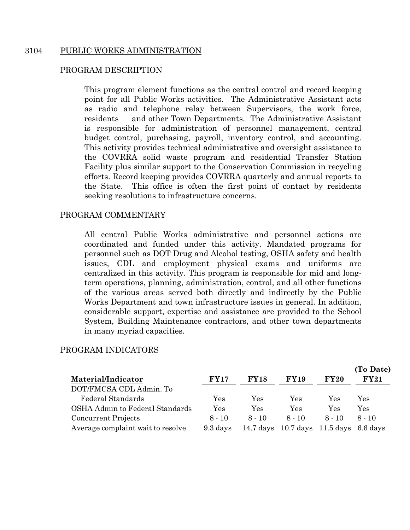## 3104 PUBLIC WORKS ADMINISTRATION

## PROGRAM DESCRIPTION

This program element functions as the central control and record keeping point for all Public Works activities. The Administrative Assistant acts as radio and telephone relay between Supervisors, the work force, residents and other Town Departments. The Administrative Assistant is responsible for administration of personnel management, central budget control, purchasing, payroll, inventory control, and accounting. This activity provides technical administrative and oversight assistance to the COVRRA solid waste program and residential Transfer Station Facility plus similar support to the Conservation Commission in recycling efforts. Record keeping provides COVRRA quarterly and annual reports to the State. This office is often the first point of contact by residents seeking resolutions to infrastructure concerns.

## PROGRAM COMMENTARY

All central Public Works administrative and personnel actions are coordinated and funded under this activity. Mandated programs for personnel such as DOT Drug and Alcohol testing, OSHA safety and health issues, CDL and employment physical exams and uniforms are centralized in this activity. This program is responsible for mid and longterm operations, planning, administration, control, and all other functions of the various areas served both directly and indirectly by the Public Works Department and town infrastructure issues in general. In addition, considerable support, expertise and assistance are provided to the School System, Building Maintenance contractors, and other town departments in many myriad capacities.

## PROGRAM INDICATORS

|                                   |             |                      |                                    |                      | (To Date)            |
|-----------------------------------|-------------|----------------------|------------------------------------|----------------------|----------------------|
| Material/Indicator                | <b>FY17</b> | <b>FY18</b>          | <b>FY19</b>                        | FY20                 | <b>FY21</b>          |
| DOT/FMCSA CDL Admin. To           |             |                      |                                    |                      |                      |
| Federal Standards                 | Yes         | Yes                  | Yes                                | Yes                  | Yes                  |
| OSHA Admin to Federal Standards   | Yes         | $\operatorname{Yes}$ | Yes                                | $\operatorname{Yes}$ | $\operatorname{Yes}$ |
| Concurrent Projects               | $8 - 10$    | $8 - 10$             | $8 - 10$                           | $8 - 10$             | $8 - 10$             |
| Average complaint wait to resolve | 9.3 days    | $14.7~{\rm days}$    | $10.7$ days $11.5$ days $6.6$ days |                      |                      |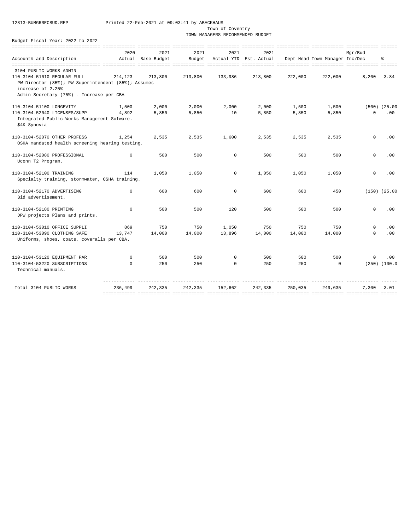Town of Coventry

TOWN MANAGERS RECOMMENDED BUDGET

|                                                     | 2020        | 2021               | 2021    | 2021        | 2021                   |         |                                | Mgr/Bud                    |                   |
|-----------------------------------------------------|-------------|--------------------|---------|-------------|------------------------|---------|--------------------------------|----------------------------|-------------------|
| Account# and Description                            |             | Actual Base Budget | Budget  |             | Actual YTD Est. Actual |         | Dept Head Town Manager Inc/Dec |                            | နွ                |
|                                                     |             |                    |         |             |                        |         |                                |                            |                   |
| 3104 PUBLIC WORKS ADMIN                             |             |                    |         |             |                        |         |                                |                            |                   |
| 110-3104-51010 REGULAR FULL                         | 214,123     | 213,800            | 213,800 | 133,986     | 213,800                | 222,000 | 222,000                        | 8,200                      | 3.84              |
| PW Director (85%); PW Superintendent (85%); Assumes |             |                    |         |             |                        |         |                                |                            |                   |
| increase of 2.25%                                   |             |                    |         |             |                        |         |                                |                            |                   |
| Admin Secretary (75%) - Increase per CBA            |             |                    |         |             |                        |         |                                |                            |                   |
| 110-3104-51100 LONGEVITY                            | 1,500       | 2,000              | 2,000   | 2,000       | 2,000                  | 1,500   | 1,500                          |                            | $(500)$ $(25.00)$ |
| 110-3104-52040 LICENSES/SUPP                        | 4.892       | 5,850              | 5,850   | 10          | 5,850                  | 5,850   | 5,850                          | $\Omega$                   | .00               |
| Integrated Public Works Management Sofware.         |             |                    |         |             |                        |         |                                |                            |                   |
| \$4K Synovia                                        |             |                    |         |             |                        |         |                                |                            |                   |
|                                                     |             |                    |         |             |                        |         |                                |                            |                   |
| 110-3104-52070 OTHER PROFESS                        | 1,254       | 2,535              | 2,535   | 1,600       | 2,535                  | 2,535   | 2,535                          | $\mathbf 0$                | .00               |
| OSHA mandated health screening hearing testing.     |             |                    |         |             |                        |         |                                |                            |                   |
|                                                     |             |                    |         |             |                        |         |                                |                            |                   |
| 110-3104-52080 PROFESSIONAL                         | $^{\circ}$  | 500                | 500     | $\mathbf 0$ | 500                    | 500     | 500                            | $\mathbf 0$                | .00               |
| Uconn T2 Program.                                   |             |                    |         |             |                        |         |                                |                            |                   |
| 110-3104-52100 TRAINING                             |             | 1,050              | 1,050   | $\Omega$    |                        | 1,050   |                                | $\circ$                    | .00               |
|                                                     | 114         |                    |         |             | 1,050                  |         | 1,050                          |                            |                   |
| Specialty training, stormwater, OSHA training.      |             |                    |         |             |                        |         |                                |                            |                   |
| 110-3104-52170 ADVERTISING                          | $\mathbf 0$ | 600                | 600     | $\mathbf 0$ | 600                    | 600     | 450                            |                            | $(150)$ $(25.00)$ |
| Bid advertisement.                                  |             |                    |         |             |                        |         |                                |                            |                   |
|                                                     |             |                    |         |             |                        |         |                                |                            |                   |
| 110-3104-52180 PRINTING                             | $\Omega$    | 500                | 500     | 120         | 500                    | 500     | 500                            | $\Omega$                   | .00               |
| DPW projects Plans and prints.                      |             |                    |         |             |                        |         |                                |                            |                   |
|                                                     |             |                    |         |             |                        |         | 750                            |                            |                   |
| 110-3104-53010 OFFICE SUPPLI                        | 869         | 750                | 750     | 1,050       | 750                    | 750     |                                | $\mathbf 0$<br>$\mathbf 0$ | .00               |
| 110-3104-53090 CLOTHING SAFE                        | 13,747      | 14,000             | 14,000  | 13,896      | 14,000                 | 14,000  | 14,000                         |                            | .00               |
| Uniforms, shoes, coats, coveralls per CBA.          |             |                    |         |             |                        |         |                                |                            |                   |
|                                                     |             |                    |         |             |                        |         |                                |                            |                   |
| 110-3104-53120 EQUIPMENT PAR                        | $\mathbf 0$ | 500                | 500     | $\mathbf 0$ | 500                    | 500     | 500                            | $\Omega$                   | .00               |
| 110-3104-53220 SUBSCRIPTIONS                        | $\Omega$    | 250                | 250     | $\Omega$    | 250                    | 250     | $\Omega$                       |                            | $(250)$ $(100.0$  |
| Technical manuals.                                  |             |                    |         |             |                        |         |                                |                            |                   |
|                                                     |             |                    |         |             |                        |         |                                |                            |                   |
| Total 3104 PUBLIC WORKS                             | 236,499     | 242,335            | 242,335 | 152,662     | 242,335                | 250,035 | 249,635                        | 7,300                      | 3.01              |
|                                                     |             |                    |         |             |                        |         |                                |                            |                   |
|                                                     |             |                    |         |             |                        |         |                                |                            |                   |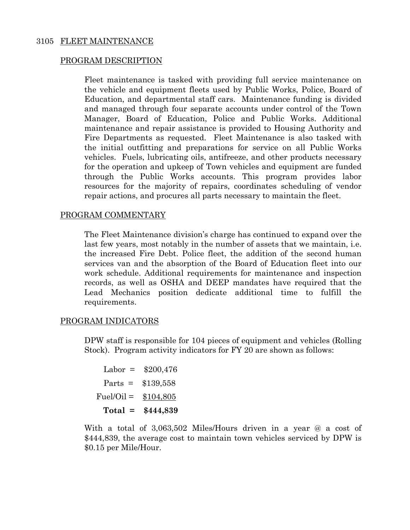## 3105 FLEET MAINTENANCE

## PROGRAM DESCRIPTION

Fleet maintenance is tasked with providing full service maintenance on the vehicle and equipment fleets used by Public Works, Police, Board of Education, and departmental staff cars. Maintenance funding is divided and managed through four separate accounts under control of the Town Manager, Board of Education, Police and Public Works. Additional maintenance and repair assistance is provided to Housing Authority and Fire Departments as requested. Fleet Maintenance is also tasked with the initial outfitting and preparations for service on all Public Works vehicles. Fuels, lubricating oils, antifreeze, and other products necessary for the operation and upkeep of Town vehicles and equipment are funded through the Public Works accounts. This program provides labor resources for the majority of repairs, coordinates scheduling of vendor repair actions, and procures all parts necessary to maintain the fleet.

## PROGRAM COMMENTARY

The Fleet Maintenance division's charge has continued to expand over the last few years, most notably in the number of assets that we maintain, i.e. the increased Fire Debt. Police fleet, the addition of the second human services van and the absorption of the Board of Education fleet into our work schedule. Additional requirements for maintenance and inspection records, as well as OSHA and DEEP mandates have required that the Lead Mechanics position dedicate additional time to fulfill the requirements.

### PROGRAM INDICATORS

DPW staff is responsible for 104 pieces of equipment and vehicles (Rolling Stock). Program activity indicators for FY 20 are shown as follows:

```
Labor = $200,476Parts = $139,558 
Fuel/Oi = $104,805 Total = $444,839
```
With a total of 3,063,502 Miles/Hours driven in a year @ a cost of \$444,839, the average cost to maintain town vehicles serviced by DPW is \$0.15 per Mile/Hour.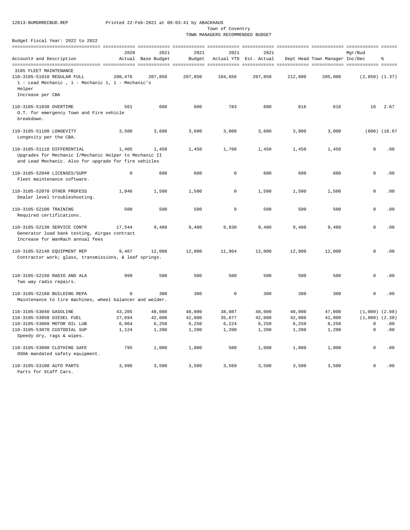Town of Coventry

TOWN MANAGERS RECOMMENDED BUDGET

|                                                                                                                                                | 2020        | 2021               | 2021    | 2021         | 2021                   |         |                                | Mar/Bud            |                   |
|------------------------------------------------------------------------------------------------------------------------------------------------|-------------|--------------------|---------|--------------|------------------------|---------|--------------------------------|--------------------|-------------------|
| Account# and Description                                                                                                                       |             | Actual Base Budget | Budget  |              | Actual YTD Est. Actual |         | Dept Head Town Manager Inc/Dec |                    | န္                |
|                                                                                                                                                |             |                    |         |              |                        |         |                                |                    |                   |
| 3105 FLEET MAINTENANCE                                                                                                                         |             |                    |         |              |                        |         |                                |                    |                   |
| 110-3105-51010 REGULAR FULL                                                                                                                    | 200,476     | 207,850            | 207,850 | 104,656      | 207,850                | 212,800 | 205,000                        | $(2,850)$ $(1.37)$ |                   |
| 1 - Lead Mechanic , 1 - Mechanic 1, 1 - Mechanic's<br>Helper                                                                                   |             |                    |         |              |                        |         |                                |                    |                   |
| Increase per CBA                                                                                                                               |             |                    |         |              |                        |         |                                |                    |                   |
| 110-3105-51030 OVERTIME<br>O.T. for emergency Town and Fire vehicle<br>breakdown.                                                              | 561         | 600                | 600     | 783          | 600                    | 616     | 616                            | 16                 | 2.67              |
|                                                                                                                                                |             |                    |         |              |                        |         |                                |                    |                   |
| 110-3105-51100 LONGEVITY<br>Longevity per the CBA.                                                                                             | 3,500       | 3,600              | 3,600   | 3,000        | 3,600                  | 3,000   | 3,000                          |                    | $(600)$ $(16.67)$ |
| 110-3105-51110 DIFFERENTIAL<br>Upgrades for Mechanic I/Mechanic Helper to Mechanic II<br>and Lead Mechanic. Also for upgrade for fire vehicles | 1,405       | 1,450              | 1,450   | 1,760        | 1,450                  | 1,450   | 1,450                          | $\circ$            | .00               |
|                                                                                                                                                |             |                    |         |              |                        |         |                                |                    |                   |
| 110-3105-52040 LICENSES/SUPP<br>Fleet maintenance software.                                                                                    | $\mathbf 0$ | 600                | 600     | $\mathbf 0$  | 600                    | 600     | 600                            | $\circ$            | .00               |
| 110-3105-52070 OTHER PROFESS<br>Dealer level troubleshooting.                                                                                  | 1,046       | 1,500              | 1,500   | $\mathbf 0$  | 1,500                  | 1,500   | 1,500                          | $\circ$            | .00               |
| 110-3105-52100 TRAINING                                                                                                                        | 500         | 500                | 500     | $\mathbf 0$  | 500                    | 500     | 500                            | $\circ$            | .00               |
| Required certifications.                                                                                                                       |             |                    |         |              |                        |         |                                |                    |                   |
| 110-3105-52130 SERVICE CONTR<br>Generator load bank testing, Airgas contract<br>Increase for WanRach annual fees                               | 17,544      | 9,480              | 9,480   | 9,830        | 9,480                  | 9,480   | 9,480                          | 0                  | .00               |
| 110-3105-52140 EQUIPMENT REP                                                                                                                   | 9,467       | 12,000             | 12,000  | 11,964       | 12,000                 | 12,000  | 12,000                         | $\mathbf{0}$       | .00               |
| Contractor work; glass, transmissions, & leaf springs.                                                                                         |             |                    |         |              |                        |         |                                |                    |                   |
| 110-3105-52150 RADIO AND ALA<br>Two way radio repairs.                                                                                         | 999         | 500                | 500     | 500          | 500                    | 500     | 500                            | $\Omega$           | .00               |
| 110-3105-52160 BUILDING REPA                                                                                                                   | $^{\circ}$  | 300                | 300     | $\mathbf{0}$ | 300                    | 300     | 300                            | $\Omega$           | .00               |
| Maintenance to tire machines, wheel balancer and welder.                                                                                       |             |                    |         |              |                        |         |                                |                    |                   |
| 110-3105-53040 GASOLINE                                                                                                                        | 43,205      | 48,000             | 48,000  | 38,087       | 48,000                 | 48,000  | 47,000                         | $(1,000)$ $(2.08)$ |                   |
| 110-3105-53050 DIESEL FUEL                                                                                                                     | 27,694      | 42,000             | 42,000  | 35,677       | 42,000                 | 42,000  | 41,000                         | $(1,000)$ $(2.38)$ |                   |
| 110-3105-53060 MOTOR OIL LUB                                                                                                                   | 6,964       | 6,250              | 6,250   | 6,224        | 6,250                  | 6,250   | 6,250                          | 0                  | .00               |
| 110-3105-53070 CUSTODIAL SUP<br>Speedy dry, rags & wipes.                                                                                      | 1,124       | 1,200              | 1,200   | 1,200        | 1,200                  | 1,200   | 1,200                          | $\mathbf{0}$       | .00               |
| 110-3105-53090 CLOTHING SAFE                                                                                                                   | 795         | 1,000              | 1,000   | 500          | 1,000                  | 1,000   | 1,000                          | $\Omega$           | .00               |
| OSHA mandated safety equipment.                                                                                                                |             |                    |         |              |                        |         |                                |                    |                   |
| 110-3105-53100 AUTO PARTS<br>Parts for Staff Cars.                                                                                             | 3,996       | 3,500              | 3,500   | 3,569        | 3,500                  | 3,500   | 3,500                          | $\Omega$           | .00               |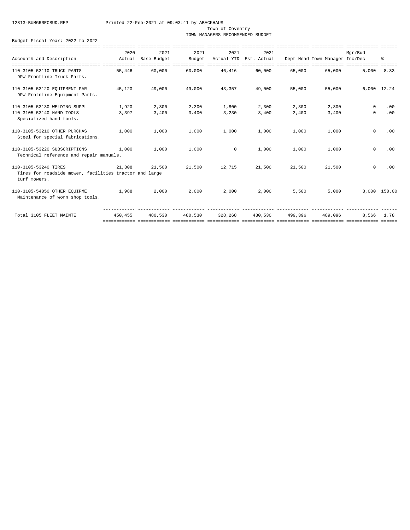Town of Coventry

TOWN MANAGERS RECOMMENDED BUDGET

|                                                        | 2020    | 2021         | 2021         | 2021       | 2021        |         |                                | Mar/Bud     |              |
|--------------------------------------------------------|---------|--------------|--------------|------------|-------------|---------|--------------------------------|-------------|--------------|
| Account# and Description                               | Actual  | Base Budget  | Budget       | Actual YTD | Est. Actual |         | Dept Head Town Manager Inc/Dec |             | ⊱            |
|                                                        |         | ============ | ============ |            |             |         |                                |             |              |
| 110-3105-53110 TRUCK PARTS                             | 55,446  | 60,000       | 60,000       | 46,416     | 60,000      | 65,000  | 65,000                         | 5,000       | 8.33         |
| DPW Frontline Truck Parts.                             |         |              |              |            |             |         |                                |             |              |
| 110-3105-53120 EQUIPMENT PAR                           | 45,120  | 49,000       | 49,000       | 43,357     | 49,000      | 55,000  | 55,000                         | 6,000 12.24 |              |
| DPW Frotnline Equipment Parts.                         |         |              |              |            |             |         |                                |             |              |
| 110-3105-53130 WELDING SUPPL                           | 1,920   | 2,300        | 2,300        | 1,800      | 2,300       | 2,300   | 2,300                          | $\circ$     | .00          |
| 110-3105-53140 HAND TOOLS                              | 3,397   | 3,400        | 3,400        | 3,230      | 3,400       | 3,400   | 3,400                          | $\circ$     | .00          |
| Specialized hand tools.                                |         |              |              |            |             |         |                                |             |              |
| 110-3105-53210 OTHER PURCHAS                           | 1,000   | 1,000        | 1,000        | 1,000      | 1,000       | 1,000   | 1,000                          | $\mathbf 0$ | .00          |
| Steel for special fabrications.                        |         |              |              |            |             |         |                                |             |              |
| 110-3105-53220 SUBSCRIPTIONS                           | 1,000   | 1,000        | 1,000        | $^{\circ}$ | 1,000       | 1,000   | 1,000                          | $\mathbf 0$ | .00          |
| Technical reference and repair manuals.                |         |              |              |            |             |         |                                |             |              |
| 110-3105-53240 TIRES                                   | 21,308  | 21,500       | 21,500       | 12,715     | 21,500      | 21,500  | 21,500                         | $\circ$     | .00          |
| Tires for roadside mower, facilities tractor and large |         |              |              |            |             |         |                                |             |              |
| turf mowers.                                           |         |              |              |            |             |         |                                |             |              |
| 110-3105-54050 OTHER EQUIPME                           | 1,988   | 2,000        | 2,000        | 2,000      | 2,000       | 5,500   | 5,000                          |             | 3,000 150.00 |
| Maintenance of worn shop tools.                        |         |              |              |            |             |         |                                |             |              |
|                                                        |         |              |              |            |             |         |                                |             |              |
| Total 3105 FLEET MAINTE                                | 450,455 | 480,530      | 480,530      | 328,268    | 480,530     | 499,396 | 489,096                        | 8,566       | 1.78         |
|                                                        |         |              |              |            |             |         |                                |             |              |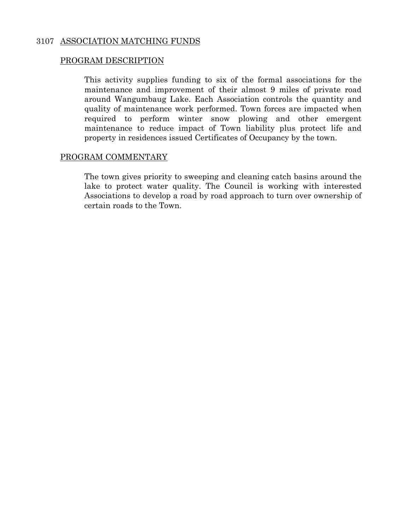## 3107 ASSOCIATION MATCHING FUNDS

## PROGRAM DESCRIPTION

 This activity supplies funding to six of the formal associations for the maintenance and improvement of their almost 9 miles of private road around Wangumbaug Lake. Each Association controls the quantity and quality of maintenance work performed. Town forces are impacted when required to perform winter snow plowing and other emergent maintenance to reduce impact of Town liability plus protect life and property in residences issued Certificates of Occupancy by the town.

## PROGRAM COMMENTARY

 The town gives priority to sweeping and cleaning catch basins around the lake to protect water quality. The Council is working with interested Associations to develop a road by road approach to turn over ownership of certain roads to the Town.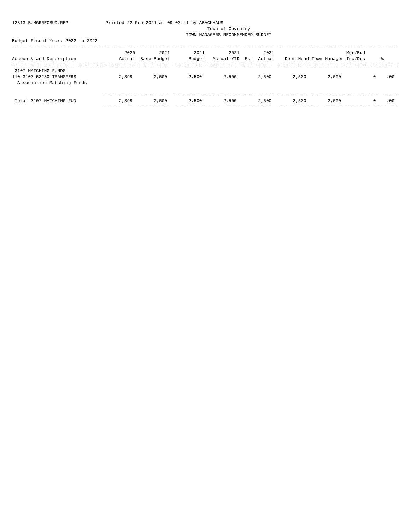Town of Coventry

TOWN MANAGERS RECOMMENDED BUDGET

| Budget Fiscal Year: 2022 to 2022 |  |  |
|----------------------------------|--|--|
|                                  |  |  |

|                            | 2020   | 2021        | 2021   | 2021  | 2021                   |       |                                | Mqr/Bud  |     |
|----------------------------|--------|-------------|--------|-------|------------------------|-------|--------------------------------|----------|-----|
| Account# and Description   | Actual | Base Budget | Budget |       | Actual YTD Est. Actual |       | Dept Head Town Manager Inc/Dec |          | 옹   |
|                            |        |             |        |       |                        |       |                                |          |     |
| 3107 MATCHING FUNDS        |        |             |        |       |                        |       |                                |          |     |
| 110-3107-53230 TRANSFERS   | 2,398  | 2,500       | 2,500  | 2,500 | 2,500                  | 2,500 | 2,500                          | $\Omega$ | .00 |
| Association Matching Funds |        |             |        |       |                        |       |                                |          |     |
|                            |        |             |        |       |                        |       |                                |          |     |
|                            |        |             |        |       |                        |       |                                |          |     |
| Total 3107 MATCHING FUN    | 2,398  | 2,500       | 2,500  | 2,500 | 2,500                  | 2,500 | 2,500                          | $\Omega$ | .00 |
|                            |        |             |        |       |                        |       |                                |          |     |
|                            |        |             |        |       |                        |       |                                |          |     |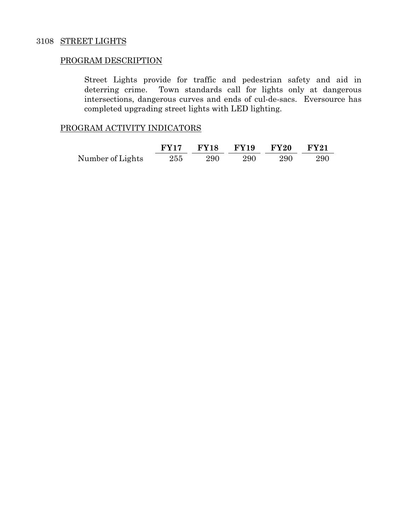## 3108 STREET LIGHTS

### PROGRAM DESCRIPTION

Street Lights provide for traffic and pedestrian safety and aid in deterring crime. Town standards call for lights only at dangerous intersections, dangerous curves and ends of cul-de-sacs. Eversource has completed upgrading street lights with LED lighting.

## PROGRAM ACTIVITY INDICATORS

|                  |  | FY17 FY18 FY19 FY20 FY21 |     |       |
|------------------|--|--------------------------|-----|-------|
| Number of Lights |  | 255 290 290              | 290 | - 290 |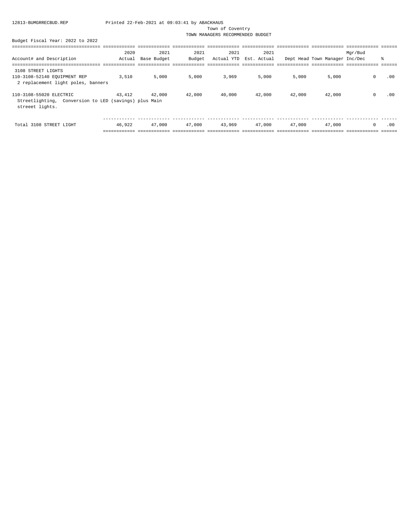Town of Coventry

TOWN MANAGERS RECOMMENDED BUDGET

|                                                                                                     | 2020   | 2021        | 2021   | 2021       | 2021        |        |                                | Mgr/Bud        |     |
|-----------------------------------------------------------------------------------------------------|--------|-------------|--------|------------|-------------|--------|--------------------------------|----------------|-----|
| Account# and Description                                                                            | Actual | Base Budget | Budget | Actual YTD | Est. Actual |        | Dept Head Town Manager Inc/Dec |                | ి   |
|                                                                                                     |        |             |        |            |             |        |                                |                |     |
| 3108 STREET LIGHTS<br>110-3108-52140 EQUIPMENT REP<br>2 replacement light poles, banners            | 3,510  | 5,000       | 5,000  | 3,969      | 5,000       | 5,000  | 5,000                          | $\mathbf 0$    | .00 |
| 110-3108-55020 ELECTRIC<br>Streetlighting, Conversion to LED (savings) plus Main<br>streeet lights. | 43,412 | 42,000      | 42,000 | 40,000     | 42,000      | 42,000 | 42,000                         | $\Omega$       | .00 |
| Total 3108 STREET LIGHT                                                                             | 46.922 | 47,000      | 47,000 | 43,969     | 47,000      | 47,000 | 47,000                         | $\overline{0}$ | .00 |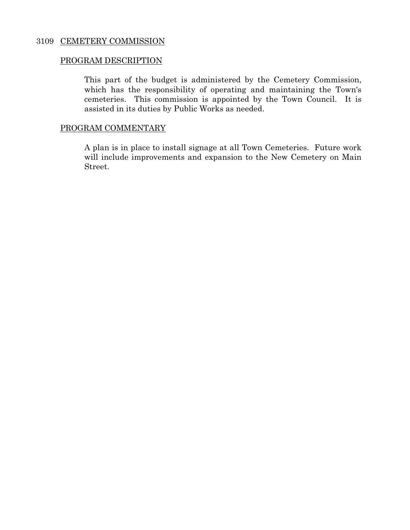## 3109 CEMETERY COMMISSION

## PROGRAM DESCRIPTION

This part of the budget is administered by the Cemetery Commission, which has the responsibility of operating and maintaining the Town's cemeteries. This commission is appointed by the Town Council. It is assisted in its duties by Public Works as needed.

## PROGRAM COMMENTARY

A plan is in place to install signage at all Town Cemeteries. Future work will include improvements and expansion to the New Cemetery on Main Street.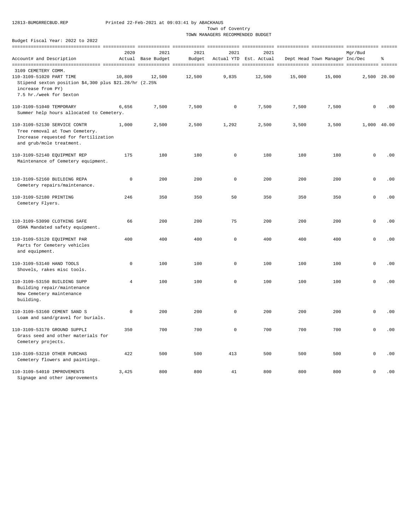Town of Coventry

TOWN MANAGERS RECOMMENDED BUDGET

| baade roman<br>$- - - -$<br>----                                                                                                                             |                |                    |        |                     |                        |        |                                |              |     |
|--------------------------------------------------------------------------------------------------------------------------------------------------------------|----------------|--------------------|--------|---------------------|------------------------|--------|--------------------------------|--------------|-----|
|                                                                                                                                                              | 2020           | 2021               | 2021   | 2021                | 2021                   |        |                                | Mgr/Bud      |     |
| Account# and Description                                                                                                                                     |                | Actual Base Budget | Budget |                     | Actual YTD Est. Actual |        | Dept Head Town Manager Inc/Dec |              | ి   |
| 3109 CEMETERY COMM.<br>110-3109-51020 PART TIME<br>Stipend sexton position $$4,300$ plus $$21.28/hr$ (2.25%)<br>increase from PY)<br>7.5 hr./week for Sexton | 10,809         | 12,500             | 12,500 | 9,835               | 12,500                 | 15,000 | 15,000                         | 2,500 20.00  |     |
| 110-3109-51040 TEMPORARY<br>Summer help hours allocated to Cemetery.                                                                                         | 6,656          | 7,500              | 7,500  | 0                   | 7,500                  | 7,500  | 7,500                          | $\mathbf 0$  | .00 |
| 110-3109-52130 SERVICE CONTR<br>Tree removal at Town Cemetery.<br>Increase requested for fertilization<br>and grub/mole treatment.                           | 1,000          | 2,500              | 2,500  | 1,292               | 2,500                  | 3,500  | 3,500                          | 1,000 40.00  |     |
| 110-3109-52140 EQUIPMENT REP<br>Maintenance of Cemetery equipment.                                                                                           | 175            | 180                | 180    | $\mathbf 0$         | 180                    | 180    | 180                            | $\mathbf 0$  | .00 |
| 110-3109-52160 BUILDING REPA<br>Cemetery repairs/maintenance.                                                                                                | $\mathsf 0$    | 200                | 200    | $\mathsf 0$         | 200                    | 200    | 200                            | $\mathsf{O}$ | .00 |
| 110-3109-52180 PRINTING<br>Cemetery Flyers.                                                                                                                  | 246            | 350                | 350    | 50                  | 350                    | 350    | 350                            | $\mathbf{0}$ | .00 |
| 110-3109-53090 CLOTHING SAFE<br>OSHA Mandated safety equipment.                                                                                              | 66             | 200                | 200    | 75                  | 200                    | 200    | 200                            | $\mathbf 0$  | .00 |
| 110-3109-53120 EQUIPMENT PAR<br>Parts for Cemetery vehicles<br>and equipment.                                                                                | 400            | 400                | 400    | $\mathsf 0$         | 400                    | 400    | 400                            | $\mathsf 0$  | .00 |
| 110-3109-53140 HAND TOOLS<br>Shovels, rakes misc tools.                                                                                                      | $\mathsf 0$    | 100                | 100    | $\mathsf 0$         | 100                    | 100    | 100                            | $\mathsf{O}$ | .00 |
| 110-3109-53150 BUILDING SUPP<br>Building repair/maintenance<br>New Cemetery maintenance<br>building.                                                         | $\overline{4}$ | 100                | 100    | $\mathsf 0$         | 100                    | 100    | 100                            | $\mathbf 0$  | .00 |
| 110-3109-53160 CEMENT SAND S<br>Loam and sand/gravel for burials.                                                                                            | $\mathbb O$    | 200                | 200    | $\mathsf 0$         | 200                    | 200    | 200                            | $\mathsf{O}$ | .00 |
| 110-3109-53170 GROUND SUPPLI<br>Grass seed and other materials for<br>Cemetery projects.                                                                     | 350            | 700                | 700    | $\mathsf{O}\xspace$ | 700                    | 700    | 700                            | $\mathsf 0$  | .00 |
| 110-3109-53210 OTHER PURCHAS<br>Cemetery flowers and paintings.                                                                                              | 422            | 500                | 500    | 413                 | 500                    | 500    | 500                            | $\mathsf 0$  | .00 |
| 110-3109-54010 IMPROVEMENTS<br>Signage and other improvements                                                                                                | 3,425          | 800                | 800    | 41                  | 800                    | 800    | 800                            | $\mathbf{0}$ | .00 |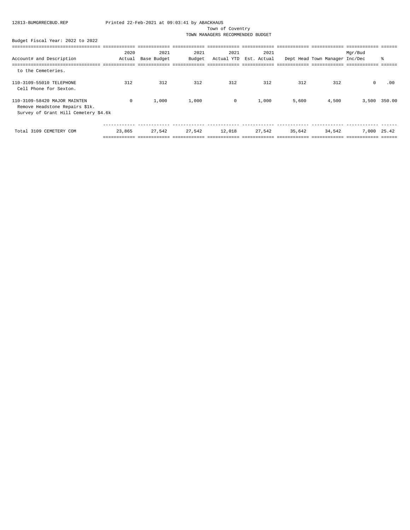Town of Coventry

TOWN MANAGERS RECOMMENDED BUDGET

|                                      | 2020       | 2021        | 2021   | 2021    | 2021                   |        |                                | Mgr/Bud    |              |
|--------------------------------------|------------|-------------|--------|---------|------------------------|--------|--------------------------------|------------|--------------|
| Account# and Description             | Actual     | Base Budget | Budget |         | Actual YTD Est. Actual |        | Dept Head Town Manager Inc/Dec |            | ిం           |
|                                      |            |             |        |         |                        |        |                                |            |              |
| to the Cemeteries.                   |            |             |        |         |                        |        |                                |            |              |
| 110-3109-55010 TELEPHONE             | 312        | 312         | 312    | 312     | 312                    | 312    | 312                            | $^{\circ}$ | .00          |
| Cell Phone for Sexton.               |            |             |        |         |                        |        |                                |            |              |
| 110-3109-58420 MAJOR MAINTEN         | $^{\circ}$ | 1,000       | 1,000  | $\circ$ | 1,000                  | 5,600  | 4,500                          |            | 3,500 350.00 |
| Remove Headstone Repairs \$1k.       |            |             |        |         |                        |        |                                |            |              |
| Survey of Grant Hill Cemetery \$4.6k |            |             |        |         |                        |        |                                |            |              |
|                                      |            |             |        |         |                        |        |                                |            |              |
| Total 3109 CEMETERY COM              | 23,865     | 27,542      | 27,542 | 12,018  | 27,542                 | 35,642 | 34,542                         | 7,000      | 25.42        |
|                                      |            |             |        |         |                        |        |                                |            |              |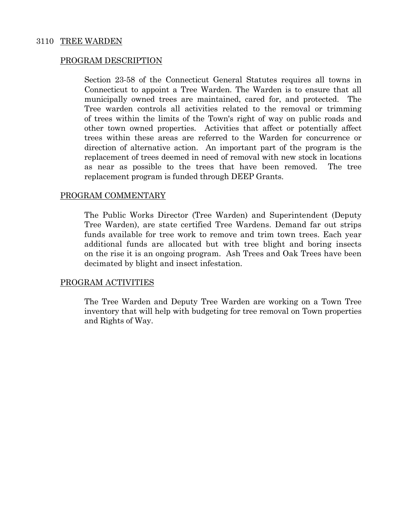## 3110 TREE WARDEN

### PROGRAM DESCRIPTION

Section 23-58 of the Connecticut General Statutes requires all towns in Connecticut to appoint a Tree Warden. The Warden is to ensure that all municipally owned trees are maintained, cared for, and protected. The Tree warden controls all activities related to the removal or trimming of trees within the limits of the Town's right of way on public roads and other town owned properties. Activities that affect or potentially affect trees within these areas are referred to the Warden for concurrence or direction of alternative action. An important part of the program is the replacement of trees deemed in need of removal with new stock in locations as near as possible to the trees that have been removed. The tree replacement program is funded through DEEP Grants.

## PROGRAM COMMENTARY

The Public Works Director (Tree Warden) and Superintendent (Deputy Tree Warden), are state certified Tree Wardens. Demand far out strips funds available for tree work to remove and trim town trees. Each year additional funds are allocated but with tree blight and boring insects on the rise it is an ongoing program. Ash Trees and Oak Trees have been decimated by blight and insect infestation.

### PROGRAM ACTIVITIES

The Tree Warden and Deputy Tree Warden are working on a Town Tree inventory that will help with budgeting for tree removal on Town properties and Rights of Way.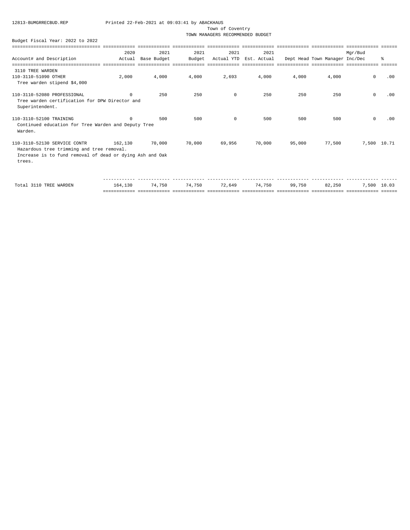Town of Coventry

TOWN MANAGERS RECOMMENDED BUDGET

#### Budget Fiscal Year: 2022 to 2022

|                                                                                                                                                 |            |             |        |            | ------------- |        |                                |              |     |
|-------------------------------------------------------------------------------------------------------------------------------------------------|------------|-------------|--------|------------|---------------|--------|--------------------------------|--------------|-----|
|                                                                                                                                                 | 2020       | 2021        | 2021   | 2021       | 2021          |        |                                | Mgr/Bud      |     |
| Account# and Description                                                                                                                        | Actual     | Base Budget | Budget | Actual YTD | Est. Actual   |        | Dept Head Town Manager Inc/Dec |              | ⊱   |
| ---------------------------------                                                                                                               |            |             |        |            |               |        |                                |              |     |
| 3110 TREE WARDEN                                                                                                                                |            |             |        |            |               |        |                                |              |     |
| 110-3110-51090 OTHER<br>Tree warden stipend \$4,000                                                                                             | 2,000      | 4,000       | 4,000  | 2,693      | 4,000         | 4,000  | 4,000                          | $\circ$      | .00 |
| 110-3110-52080 PROFESSIONAL<br>Tree warden certification for DPW Director and<br>Superintendent.                                                | $^{\circ}$ | 250         | 250    | 0          | 250           | 250    | 250                            | $\mathsf{O}$ | .00 |
| 110-3110-52100 TRAINING<br>Continued education for Tree Warden and Deputy Tree<br>Warden.                                                       | $\Omega$   | 500         | 500    | $^{\circ}$ | 500           | 500    | 500                            | $\mathbf 0$  | .00 |
| 110-3110-52130 SERVICE CONTR<br>Hazardous tree trimming and tree removal.<br>Increase is to fund removal of dead or dying Ash and Oak<br>trees. | 162,130    | 70,000      | 70,000 | 69,956     | 70,000        | 95,000 | 77,500                         | 7,500 10.71  |     |
|                                                                                                                                                 |            |             |        |            |               |        |                                |              |     |

 Total 3110 TREE WARDEN 164,130 74,750 74,750 72,649 74,750 99,750 82,250 7,500 10.03 ============ ============ ============ ============ ============ ============ ============ ============ ======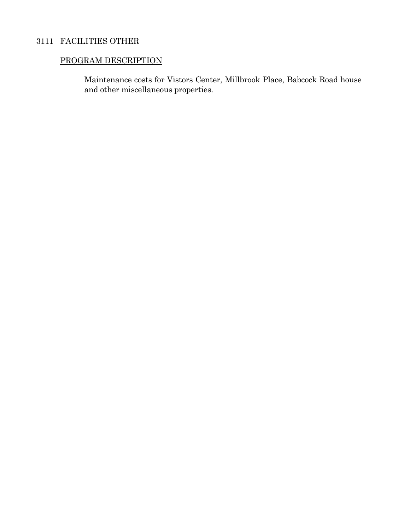## 3111 FACILITIES OTHER

## PROGRAM DESCRIPTION

Maintenance costs for Vistors Center, Millbrook Place, Babcock Road house and other miscellaneous properties.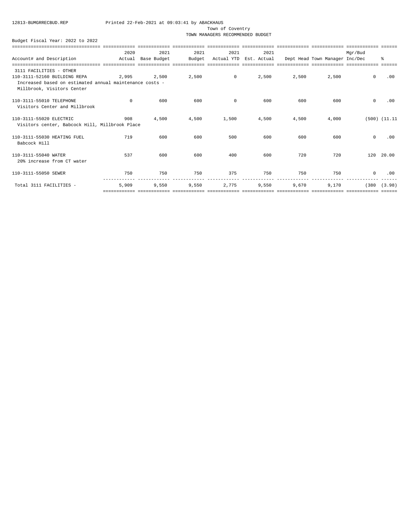Town of Coventry

TOWN MANAGERS RECOMMENDED BUDGET

|                                                         | 2020        | 2021        | 2021   | 2021       | 2021        |       |                                | Mgr/Bud     |                   |
|---------------------------------------------------------|-------------|-------------|--------|------------|-------------|-------|--------------------------------|-------------|-------------------|
| Account# and Description                                | Actual      | Base Budget | Budget | Actual YTD | Est. Actual |       | Dept Head Town Manager Inc/Dec |             | ႜೢ                |
|                                                         |             |             |        |            |             |       |                                |             |                   |
| 3111 FACILITIES - OTHER                                 |             |             |        |            |             |       |                                |             |                   |
| 110-3111-52160 BUILDING REPA                            | 2,995       | 2,500       | 2,500  | $\sim$ 0   | 2,500       | 2,500 | 2,500                          | $\mathbf 0$ | .00               |
| Increased based on estimated annual maintenance costs - |             |             |        |            |             |       |                                |             |                   |
| Millbrook, Visitors Center                              |             |             |        |            |             |       |                                |             |                   |
| 110-3111-55010 TELEPHONE                                | $\mathbf 0$ | 600         | 600    | $\circ$    | 600         | 600   | 600                            | $\mathbf 0$ | .00               |
| Visitors Center and Millbrook                           |             |             |        |            |             |       |                                |             |                   |
| 110-3111-55020 ELECTRIC                                 | 908         | 4,500       | 4,500  | 1,500      | 4,500       | 4,500 | 4,000                          |             | $(500)$ $(11.11)$ |
| Visitors center, Babcock Hill, Millbrook Place          |             |             |        |            |             |       |                                |             |                   |
| 110-3111-55030 HEATING FUEL                             | 719         | 600         | 600    | 500        | 600         | 600   | 600                            | $\circ$     | .00               |
| Babcock Hill                                            |             |             |        |            |             |       |                                |             |                   |
| 110-3111-55040 WATER                                    | 537         | 600         | 600    | 400        | 600         | 720   | 720                            |             | 120 20.00         |
| 20% increase from CT water                              |             |             |        |            |             |       |                                |             |                   |
| 110-3111-55050 SEWER                                    | 750         | 750         | 750    | 375        | 750         | 750   | 750                            | $\circ$     | .00               |
|                                                         |             |             |        |            |             |       |                                |             |                   |
| Total 3111 FACILITIES -                                 | 5,909       | 9,550       | 9,550  | 2.775      | 9,550       | 9,670 | 9,170                          | (380)       | (3.98)            |
|                                                         |             |             |        |            |             |       |                                |             |                   |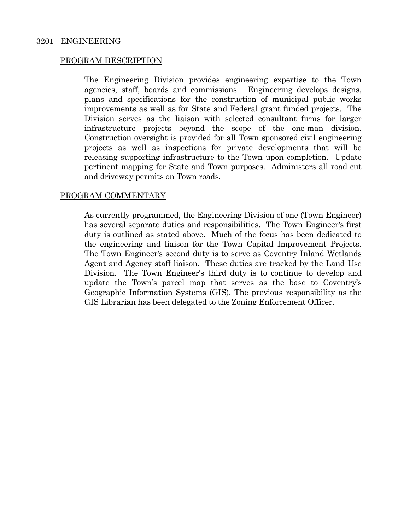## 3201 ENGINEERING

## PROGRAM DESCRIPTION

 The Engineering Division provides engineering expertise to the Town agencies, staff, boards and commissions. Engineering develops designs, plans and specifications for the construction of municipal public works improvements as well as for State and Federal grant funded projects. The Division serves as the liaison with selected consultant firms for larger infrastructure projects beyond the scope of the one-man division. Construction oversight is provided for all Town sponsored civil engineering projects as well as inspections for private developments that will be releasing supporting infrastructure to the Town upon completion. Update pertinent mapping for State and Town purposes. Administers all road cut and driveway permits on Town roads.

## PROGRAM COMMENTARY

 As currently programmed, the Engineering Division of one (Town Engineer) has several separate duties and responsibilities. The Town Engineer's first duty is outlined as stated above. Much of the focus has been dedicated to the engineering and liaison for the Town Capital Improvement Projects. The Town Engineer's second duty is to serve as Coventry Inland Wetlands Agent and Agency staff liaison. These duties are tracked by the Land Use Division. The Town Engineer's third duty is to continue to develop and update the Town's parcel map that serves as the base to Coventry's Geographic Information Systems (GIS). The previous responsibility as the GIS Librarian has been delegated to the Zoning Enforcement Officer.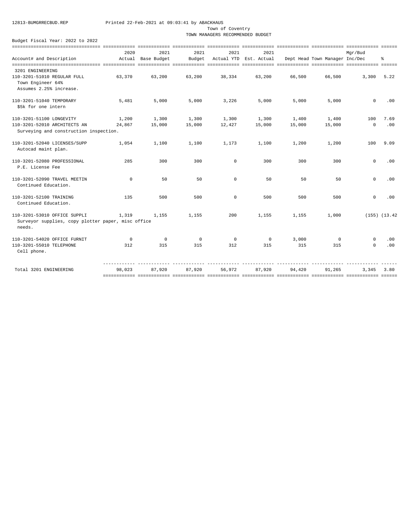Town of Coventry

TOWN MANAGERS RECOMMENDED BUDGET

|                                                              | 2020         | 2021               | 2021    | 2021        | 2021                   |        |                                | Mar/Bud     |                   |
|--------------------------------------------------------------|--------------|--------------------|---------|-------------|------------------------|--------|--------------------------------|-------------|-------------------|
| Account# and Description                                     |              | Actual Base Budget | Budget  |             | Actual YTD Est. Actual |        | Dept Head Town Manager Inc/Dec |             | 응.                |
| 3201 ENGINEERING                                             |              |                    |         |             |                        |        |                                |             |                   |
| 110-3201-51010 REGULAR FULL                                  | 63,370       | 63,200             | 63,200  | 38,334      | 63,200                 | 66,500 | 66,500                         | 3,300       | 5.22              |
| Town Engineer 64%                                            |              |                    |         |             |                        |        |                                |             |                   |
| Assumes 2.25% increase.                                      |              |                    |         |             |                        |        |                                |             |                   |
| 110-3201-51040 TEMPORARY                                     | 5,481        | 5,000              | 5,000   | 3,226       | 5,000                  | 5,000  | 5,000                          | $\mathbf 0$ | .00               |
| \$5k for one intern                                          |              |                    |         |             |                        |        |                                |             |                   |
| 110-3201-51100 LONGEVITY                                     | 1,200        | 1,300              | 1,300   | 1,300       | 1,300                  | 1,400  | 1,400                          | 100         | 7.69              |
| 110-3201-52010 ARCHITECTS AN                                 | 24,867       | 15,000             | 15,000  | 12,427      | 15,000                 | 15,000 | 15,000                         | $\mathbf 0$ | .00               |
| Surveying and construction inspection.                       |              |                    |         |             |                        |        |                                |             |                   |
| 110-3201-52040 LICENSES/SUPP                                 | 1,054        | 1,100              | 1,100   | 1,173       | 1,100                  | 1,200  | 1,200                          | 100         | 9.09              |
| Autocad maint plan.                                          |              |                    |         |             |                        |        |                                |             |                   |
| 110-3201-52080 PROFESSIONAL                                  | 285          | 300                | 300     | $\mathbf 0$ | 300                    | 300    | 300                            | $\Omega$    | .00               |
| P.E. License Fee                                             |              |                    |         |             |                        |        |                                |             |                   |
| 110-3201-52090 TRAVEL MEETIN                                 | $\mathbf 0$  | 50                 | 50      | $\Omega$    | 50                     | 50     | 50                             | $\Omega$    | .00               |
| Continued Education.                                         |              |                    |         |             |                        |        |                                |             |                   |
| 110-3201-52100 TRAINING                                      | 135          | 500                | 500     | $\Omega$    | 500                    | 500    | 500                            | $\mathbf 0$ | .00               |
| Continued Education.                                         |              |                    |         |             |                        |        |                                |             |                   |
| 110-3201-53010 OFFICE SUPPLI                                 | 1,319        | 1,155              | 1,155   | 200         | 1,155                  | 1,155  | 1,000                          |             | $(155)$ $(13.42)$ |
| Surveyor supplies, copy plotter paper, misc office<br>needs. |              |                    |         |             |                        |        |                                |             |                   |
| 110-3201-54020 OFFICE FURNIT                                 | $\mathbf{0}$ | $^{\circ}$         | $\circ$ | $^{\circ}$  | $^{\circ}$             | 3,000  | $^{\circ}$                     | $\circ$     | .00               |
| 110-3201-55010 TELEPHONE                                     | 312          | 315                | 315     | 312         | 315                    | 315    | 315                            | $\Omega$    | .00               |
| Cell phone.                                                  |              |                    |         |             |                        |        |                                |             |                   |
| Total 3201 ENGINEERING                                       | 98,023       | 87,920             | 87,920  | 56,972      | 87,920                 | 94,420 | 91,265                         | 3,345       | 3.80              |
|                                                              |              |                    |         |             |                        |        |                                |             |                   |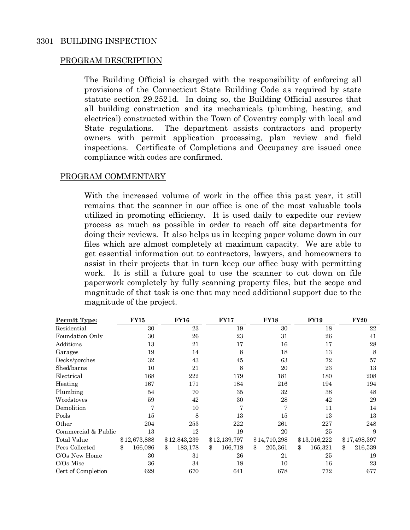## 3301 BUILDING INSPECTION

## PROGRAM DESCRIPTION

The Building Official is charged with the responsibility of enforcing all provisions of the Connecticut State Building Code as required by state statute section 29.2521d. In doing so, the Building Official assures that all building construction and its mechanicals (plumbing, heating, and electrical) constructed within the Town of Coventry comply with local and State regulations. The department assists contractors and property owners with permit application processing, plan review and field inspections. Certificate of Completions and Occupancy are issued once compliance with codes are confirmed.

## PROGRAM COMMENTARY

With the increased volume of work in the office this past year, it still remains that the scanner in our office is one of the most valuable tools utilized in promoting efficiency. It is used daily to expedite our review process as much as possible in order to reach off site departments for doing their reviews. It also helps us in keeping paper volume down in our files which are almost completely at maximum capacity. We are able to get essential information out to contractors, lawyers, and homeowners to assist in their projects that in turn keep our office busy with permitting work. It is still a future goal to use the scanner to cut down on file paperwork completely by fully scanning property files, but the scope and magnitude of that task is one that may need additional support due to the magnitude of the project.

| Permit Type:        | <b>FY15</b>   | <b>FY16</b>   | <b>FY17</b>   | <b>FY18</b>   | <b>FY19</b>   | <b>FY20</b>   |
|---------------------|---------------|---------------|---------------|---------------|---------------|---------------|
| Residential         | 30            | 23            | 19            | 30            | 18            | 22            |
| Foundation Only     | 30            | 26            | 23            | 31            | 26            | 41            |
| Additions           | 13            | 21            | 17            | 16            | 17            | 28            |
| Garages             | 19            | 14            | 8             | 18            | 13            | 8             |
| Decks/porches       | 32            | 43            | 45            | 63            | 72            | 57            |
| Shed/barns          | 10            | 21            | 8             | 20            | 23            | 13            |
| Electrical          | 168           | 222           | 179           | 181           | 180           | 208           |
| Heating             | 167           | 171           | 184           | 216           | 194           | 194           |
| Plumbing            | 54            | 70            | 35            | 32            | 38            | 48            |
| Woodstoves          | 59            | 42            | 30            | 28            | 42            | 29            |
| Demolition          | 7             | 10            |               |               | 11            | 14            |
| Pools               | 15            | 8             | 13            | 15            | 13            | 13            |
| Other               | 204           | 253           | 222           | 261           | 227           | 248           |
| Commercial & Public | 13            | 12            | 19            | 20            | 25            | 9             |
| Total Value         | \$12,673,888  | \$12,843,239  | \$12,139,797  | \$14,710,298  | \$13,016,222  | \$17,498,397  |
| Fees Collected      | \$<br>166,086 | \$<br>183,178 | \$<br>166,718 | \$<br>205,361 | 165,321<br>\$ | 216,539<br>\$ |
| C/Os New Home       | 30            | 31            | 26            | 21            | 25            | 19            |
| $C/Os$ Misc         | 36            | 34            | 18            | 10            | 16            | 23            |
| Cert of Completion  | 629           | 670           | 641           | 678           | 772           | 677           |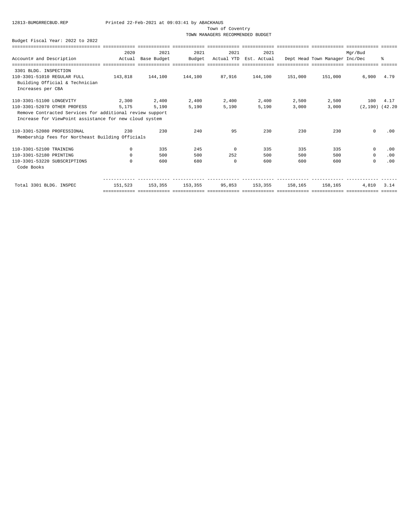Town of Coventry

TOWN MANAGERS RECOMMENDED BUDGET

|                                                          | 2020         | 2021        | 2021            | 2021                   | 2021                   |         |                                | Mar/Bud             |      |
|----------------------------------------------------------|--------------|-------------|-----------------|------------------------|------------------------|---------|--------------------------------|---------------------|------|
| Account# and Description                                 | Actual       | Base Budget | Budget          |                        | Actual YTD Est. Actual |         | Dept Head Town Manager Inc/Dec |                     | ፝ዼ   |
|                                                          |              |             |                 |                        |                        |         |                                |                     |      |
| 3301 BLDG. INSPECTION                                    |              |             |                 |                        |                        |         |                                |                     |      |
| 110-3301-51010 REGULAR FULL                              | 143,818      | 144,100     | 144,100         | 87,916                 | 144,100                | 151,000 | 151,000                        | 6,900               | 4.79 |
| Building Official & Technician                           |              |             |                 |                        |                        |         |                                |                     |      |
| Increases per CBA                                        |              |             |                 |                        |                        |         |                                |                     |      |
| 110-3301-51100 LONGEVITY                                 | 2,300        | 2,400       | 2,400           | 2,400                  | 2,400                  | 2,500   | 2,500                          | 100                 | 4.17 |
| 110-3301-52070 OTHER PROFESS                             | 5,175        | 5,190       | 5,190           | 5,190                  | 5,190                  | 3,000   | 3,000                          | $(2,190)$ $(42,20)$ |      |
| Remove Contracted Services for additional review support |              |             |                 |                        |                        |         |                                |                     |      |
| Increase for ViewPoint assistance for new cloud system   |              |             |                 |                        |                        |         |                                |                     |      |
| 110-3301-52080 PROFESSIONAL                              | 230          | 230         | 240             | 95                     | 230                    | 230     | 230                            | $\mathbf 0$         | .00  |
| Membership fees for Northeast Building Officials         |              |             |                 |                        |                        |         |                                |                     |      |
| 110-3301-52100 TRAINING                                  | $^{\circ}$   | 335         | 245             | $^{\circ}$             | 335                    | 335     | 335                            | $\circ$             | .00  |
| 110-3301-52180 PRINTING                                  | $\mathbf{0}$ | 500         | 500             | 252                    | 500                    | 500     | 500                            | $^{\circ}$          | .00  |
| 110-3301-53220 SUBSCRIPTIONS                             | $^{\circ}$   | 600         | 680             | $^{\circ}$             | 600                    | 600     | 600                            | 0                   | .00  |
| Code Books                                               |              |             |                 |                        |                        |         |                                |                     |      |
|                                                          |              |             |                 |                        |                        |         |                                |                     |      |
| Total 3301 BLDG. INSPEC                                  | 151,523      |             | 153,355 153,355 | 95,853 153,355 158,165 |                        |         | 158,165                        | 4,810               | 3.14 |
|                                                          |              |             |                 |                        |                        |         |                                |                     |      |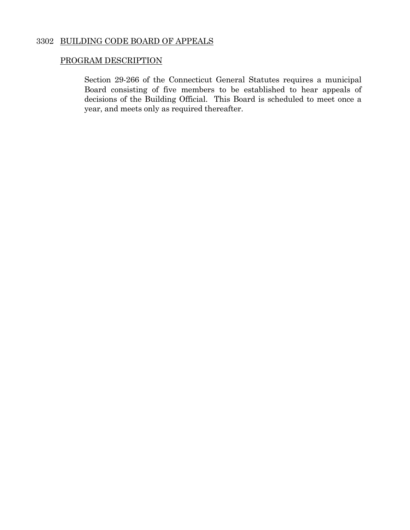## 3302 BUILDING CODE BOARD OF APPEALS

## PROGRAM DESCRIPTION

 Section 29-266 of the Connecticut General Statutes requires a municipal Board consisting of five members to be established to hear appeals of decisions of the Building Official. This Board is scheduled to meet once a year, and meets only as required thereafter.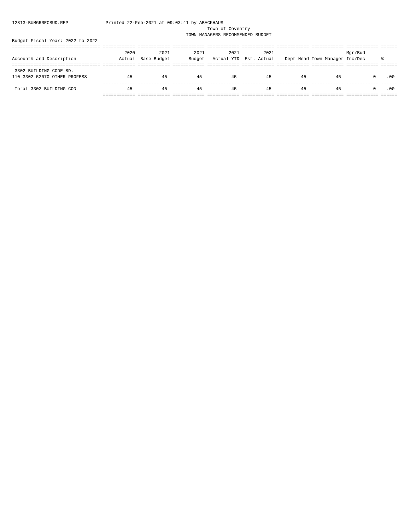#### Town of Coventry

TOWN MANAGERS RECOMMENDED BUDGET

|                              | 2020   | 2021        | 2021   | 2021 | 2021                   |    |                                | Mgr/Bud |     |
|------------------------------|--------|-------------|--------|------|------------------------|----|--------------------------------|---------|-----|
| Account# and Description     | Actual | Base Budget | Budget |      | Actual YTD Est. Actual |    | Dept Head Town Manager Inc/Dec |         |     |
|                              |        |             |        |      |                        |    |                                |         |     |
| 3302 BUILDING CODE BD.       |        |             |        |      |                        |    |                                |         |     |
| 110-3302-52070 OTHER PROFESS | 45     | 45          | 45     | 45   | 45                     | 45 | 45                             |         | .00 |
|                              |        |             |        |      |                        |    |                                |         |     |
| Total 3302 BUILDING COD      | 45     | 45          | 45     | 45   | 45                     | 45 | 45                             |         | .00 |
|                              |        |             |        |      |                        |    |                                |         |     |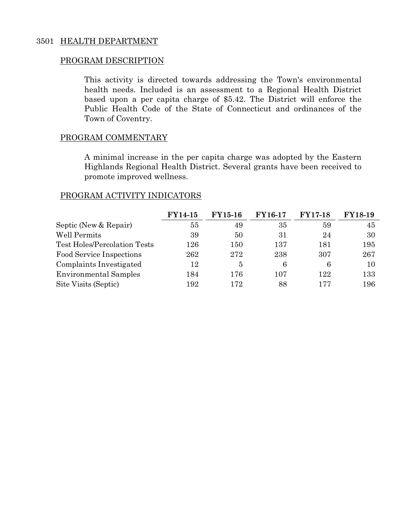## 3501 HEALTH DEPARTMENT

## PROGRAM DESCRIPTION

 This activity is directed towards addressing the Town's environmental health needs. Included is an assessment to a Regional Health District based upon a per capita charge of \$5.42. The District will enforce the Public Health Code of the State of Connecticut and ordinances of the Town of Coventry.

## PROGRAM COMMENTARY

 A minimal increase in the per capita charge was adopted by the Eastern Highlands Regional Health District. Several grants have been received to promote improved wellness.

## PROGRAM ACTIVITY INDICATORS

|                                     | <b>FY14-15</b> | <b>FY15-16</b> | <b>FY16-17</b> | <b>FY17-18</b> | <b>FY18-19</b> |
|-------------------------------------|----------------|----------------|----------------|----------------|----------------|
| Septic (New & Repair)               | 55             | 49             | 35             | 59             | 45             |
| Well Permits                        | 39             | 50             | 31             | 24             | 30             |
| <b>Test Holes/Percolation Tests</b> | 126            | 150            | 137            | 181            | 195            |
| Food Service Inspections            | 262            | 272            | 238            | 307            | 267            |
| Complaints Investigated             | 12             | 5              | 6              | 6              | 10             |
| <b>Environmental Samples</b>        | 184            | 176            | 107            | 122            | 133            |
| Site Visits (Septic)                | 192            | 172            | 88             | 177            | 196            |